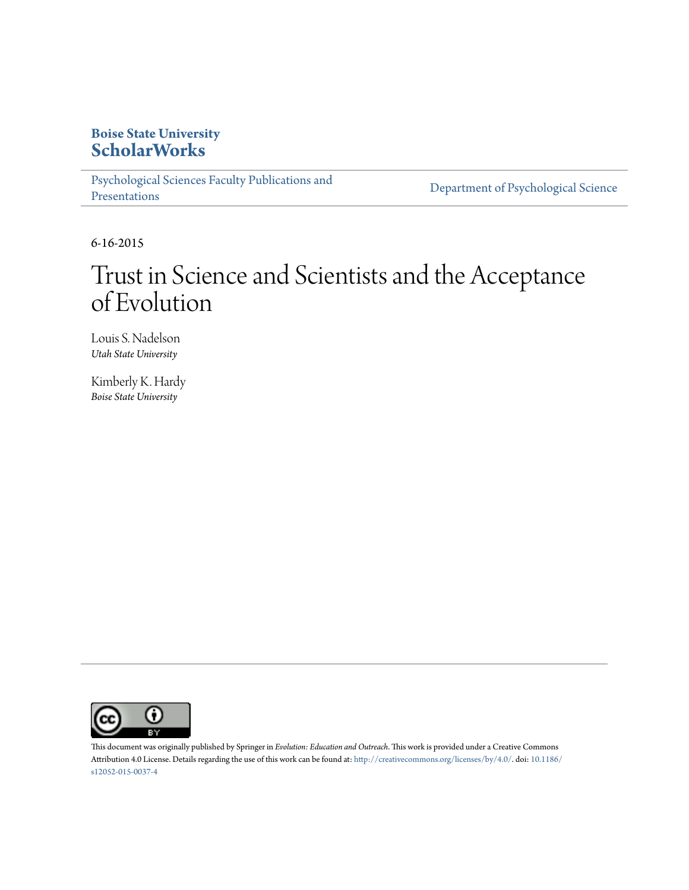# **Boise State University [ScholarWorks](https://scholarworks.boisestate.edu)**

[Psychological Sciences Faculty Publications and](https://scholarworks.boisestate.edu/psych_facpubs) [Presentations](https://scholarworks.boisestate.edu/psych_facpubs)

[Department of Psychological Science](https://scholarworks.boisestate.edu/psych)

6-16-2015

# Trust in Science and Scientists and the Acceptance of Evolution

Louis S. Nadelson *Utah State University*

Kimberly K. Hardy *Boise State University*



This document was originally published by Springer in *Evolution: Education and Outreach*. This work is provided under a Creative Commons Attribution 4.0 License. Details regarding the use of this work can be found at: <http://creativecommons.org/licenses/by/4.0/>. doi: [10.1186/](http://dx.doi.org/10.1186/s12052-015-0037-4) [s12052-015-0037-4](http://dx.doi.org/10.1186/s12052-015-0037-4)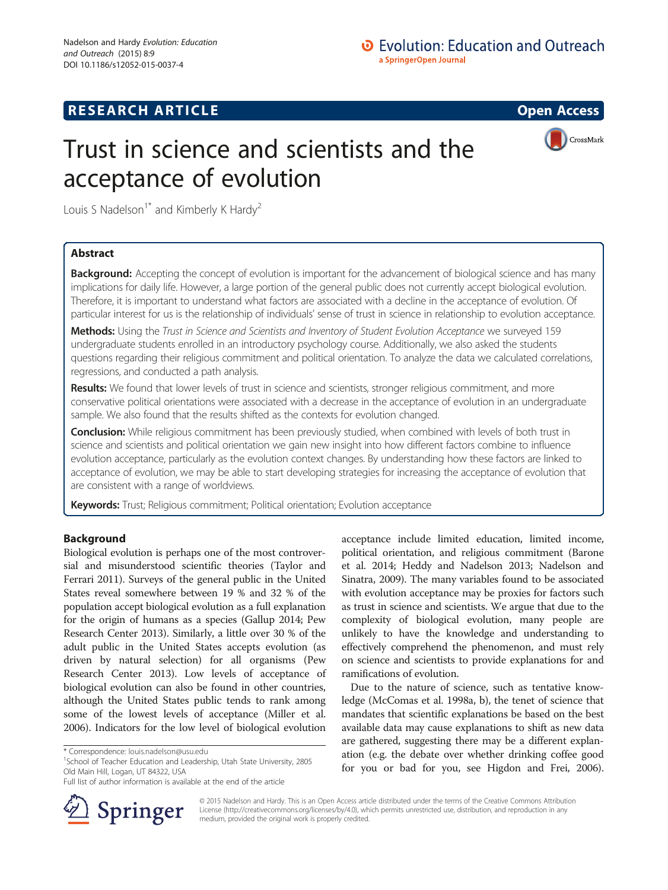# **RESEARCH ARTICLE Example 2014 12:30 The SEAR CH ACCESS**

## **D** Evolution: Education and Outreach a SpringerOpen Journal



# Trust in science and scientists and the acceptance of evolution

Louis S Nadelson<sup>1\*</sup> and Kimberly K Hardy<sup>2</sup>

## Abstract

Background: Accepting the concept of evolution is important for the advancement of biological science and has many implications for daily life. However, a large portion of the general public does not currently accept biological evolution. Therefore, it is important to understand what factors are associated with a decline in the acceptance of evolution. Of particular interest for us is the relationship of individuals' sense of trust in science in relationship to evolution acceptance.

Methods: Using the Trust in Science and Scientists and Inventory of Student Evolution Acceptance we surveyed 159 undergraduate students enrolled in an introductory psychology course. Additionally, we also asked the students questions regarding their religious commitment and political orientation. To analyze the data we calculated correlations, regressions, and conducted a path analysis.

Results: We found that lower levels of trust in science and scientists, stronger religious commitment, and more conservative political orientations were associated with a decrease in the acceptance of evolution in an undergraduate sample. We also found that the results shifted as the contexts for evolution changed.

**Conclusion:** While religious commitment has been previously studied, when combined with levels of both trust in science and scientists and political orientation we gain new insight into how different factors combine to influence evolution acceptance, particularly as the evolution context changes. By understanding how these factors are linked to acceptance of evolution, we may be able to start developing strategies for increasing the acceptance of evolution that are consistent with a range of worldviews.

Keywords: Trust; Religious commitment; Political orientation; Evolution acceptance

### Background

Biological evolution is perhaps one of the most controversial and misunderstood scientific theories (Taylor and Ferrari [2011](#page-9-0)). Surveys of the general public in the United States reveal somewhere between 19 % and 32 % of the population accept biological evolution as a full explanation for the origin of humans as a species (Gallup [2014](#page-9-0); Pew Research Center [2013](#page-9-0)). Similarly, a little over 30 % of the adult public in the United States accepts evolution (as driven by natural selection) for all organisms (Pew Research Center [2013\)](#page-9-0). Low levels of acceptance of biological evolution can also be found in other countries, although the United States public tends to rank among some of the lowest levels of acceptance (Miller et al. [2006\)](#page-9-0). Indicators for the low level of biological evolution

<sup>1</sup>School of Teacher Education and Leadership, Utah State University, 2805 Old Main Hill, Logan, UT 84322, USA

Full list of author information is available at the end of the article



acceptance include limited education, limited income, political orientation, and religious commitment (Barone et al. [2014](#page-9-0); Heddy and Nadelson [2013](#page-9-0); Nadelson and Sinatra, [2009](#page-9-0)). The many variables found to be associated with evolution acceptance may be proxies for factors such as trust in science and scientists. We argue that due to the complexity of biological evolution, many people are unlikely to have the knowledge and understanding to effectively comprehend the phenomenon, and must rely on science and scientists to provide explanations for and ramifications of evolution.

Due to the nature of science, such as tentative knowledge (McComas et al. 199[8a](#page-9-0), [b\)](#page-9-0), the tenet of science that mandates that scientific explanations be based on the best available data may cause explanations to shift as new data are gathered, suggesting there may be a different explanation (e.g. the debate over whether drinking coffee good for you or bad for you, see Higdon and Frei, [2006](#page-9-0)).

© 2015 Nadelson and Hardy. This is an Open Access article distributed under the terms of the Creative Commons Attribution License [\(http://creativecommons.org/licenses/by/4.0\)](http://creativecommons.org/licenses/by/4.0), which permits unrestricted use, distribution, and reproduction in any medium, provided the original work is properly credited.

<sup>\*</sup> Correspondence: [louis.nadelson@usu.edu](mailto:louis.nadelson@usu.edu) <sup>1</sup>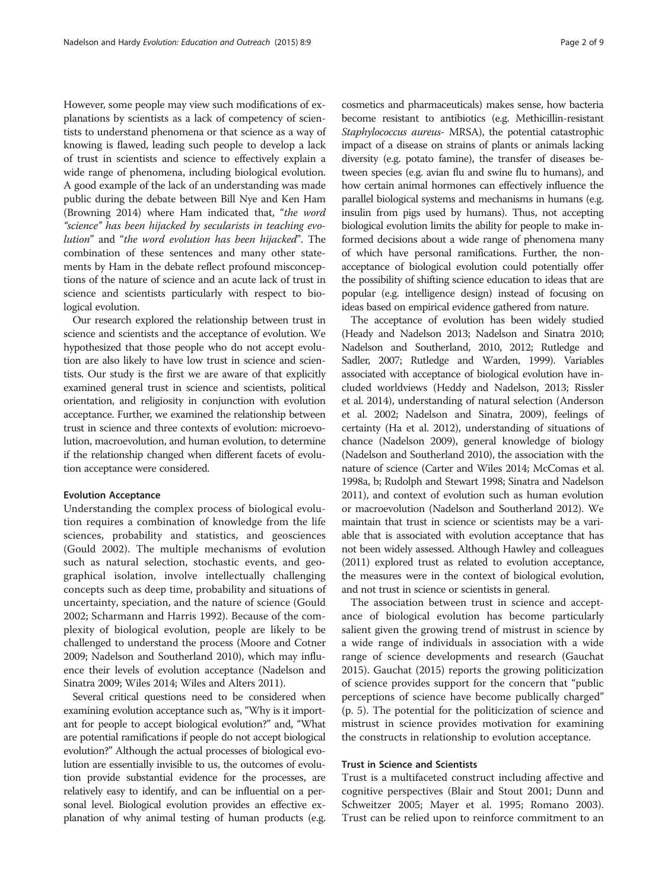However, some people may view such modifications of explanations by scientists as a lack of competency of scientists to understand phenomena or that science as a way of knowing is flawed, leading such people to develop a lack of trust in scientists and science to effectively explain a wide range of phenomena, including biological evolution. A good example of the lack of an understanding was made public during the debate between Bill Nye and Ken Ham (Browning [2014\)](#page-9-0) where Ham indicated that, "the word "science" has been hijacked by secularists in teaching evolution" and "the word evolution has been hijacked". The combination of these sentences and many other statements by Ham in the debate reflect profound misconceptions of the nature of science and an acute lack of trust in science and scientists particularly with respect to biological evolution.

Our research explored the relationship between trust in science and scientists and the acceptance of evolution. We hypothesized that those people who do not accept evolution are also likely to have low trust in science and scientists. Our study is the first we are aware of that explicitly examined general trust in science and scientists, political orientation, and religiosity in conjunction with evolution acceptance. Further, we examined the relationship between trust in science and three contexts of evolution: microevolution, macroevolution, and human evolution, to determine if the relationship changed when different facets of evolution acceptance were considered.

#### Evolution Acceptance

Understanding the complex process of biological evolution requires a combination of knowledge from the life sciences, probability and statistics, and geosciences (Gould [2002\)](#page-9-0). The multiple mechanisms of evolution such as natural selection, stochastic events, and geographical isolation, involve intellectually challenging concepts such as deep time, probability and situations of uncertainty, speciation, and the nature of science (Gould [2002;](#page-9-0) Scharmann and Harris [1992\)](#page-9-0). Because of the complexity of biological evolution, people are likely to be challenged to understand the process (Moore and Cotner [2009;](#page-9-0) Nadelson and Southerland [2010](#page-9-0)), which may influence their levels of evolution acceptance (Nadelson and Sinatra [2009;](#page-9-0) Wiles [2014](#page-9-0); Wiles and Alters [2011](#page-9-0)).

Several critical questions need to be considered when examining evolution acceptance such as, "Why is it important for people to accept biological evolution?" and, "What are potential ramifications if people do not accept biological evolution?" Although the actual processes of biological evolution are essentially invisible to us, the outcomes of evolution provide substantial evidence for the processes, are relatively easy to identify, and can be influential on a personal level. Biological evolution provides an effective explanation of why animal testing of human products (e.g. cosmetics and pharmaceuticals) makes sense, how bacteria become resistant to antibiotics (e.g. Methicillin-resistant Staphylococcus aureus- MRSA), the potential catastrophic impact of a disease on strains of plants or animals lacking diversity (e.g. potato famine), the transfer of diseases between species (e.g. avian flu and swine flu to humans), and how certain animal hormones can effectively influence the parallel biological systems and mechanisms in humans (e.g. insulin from pigs used by humans). Thus, not accepting biological evolution limits the ability for people to make informed decisions about a wide range of phenomena many of which have personal ramifications. Further, the nonacceptance of biological evolution could potentially offer the possibility of shifting science education to ideas that are popular (e.g. intelligence design) instead of focusing on

ideas based on empirical evidence gathered from nature.

The acceptance of evolution has been widely studied (Heady and Nadelson [2013](#page-9-0); Nadelson and Sinatra [2010](#page-9-0); Nadelson and Southerland, [2010, 2012;](#page-9-0) Rutledge and Sadler, [2007;](#page-9-0) Rutledge and Warden, [1999\)](#page-9-0). Variables associated with acceptance of biological evolution have included worldviews (Heddy and Nadelson, [2013](#page-9-0); Rissler et al. [2014\)](#page-9-0), understanding of natural selection (Anderson et al. [2002](#page-9-0); Nadelson and Sinatra, [2009\)](#page-9-0), feelings of certainty (Ha et al. [2012\)](#page-9-0), understanding of situations of chance (Nadelson [2009](#page-9-0)), general knowledge of biology (Nadelson and Southerland [2010](#page-9-0)), the association with the nature of science (Carter and Wiles [2014](#page-9-0); McComas et al. 1998[a](#page-9-0), [b](#page-9-0); Rudolph and Stewart [1998](#page-9-0); Sinatra and Nadelson [2011\)](#page-9-0), and context of evolution such as human evolution or macroevolution (Nadelson and Southerland [2012\)](#page-9-0). We maintain that trust in science or scientists may be a variable that is associated with evolution acceptance that has not been widely assessed. Although Hawley and colleagues ([2011\)](#page-9-0) explored trust as related to evolution acceptance, the measures were in the context of biological evolution, and not trust in science or scientists in general.

The association between trust in science and acceptance of biological evolution has become particularly salient given the growing trend of mistrust in science by a wide range of individuals in association with a wide range of science developments and research (Gauchat [2015](#page-9-0)). Gauchat ([2015\)](#page-9-0) reports the growing politicization of science provides support for the concern that "public perceptions of science have become publically charged" (p. 5). The potential for the politicization of science and mistrust in science provides motivation for examining the constructs in relationship to evolution acceptance.

#### Trust in Science and Scientists

Trust is a multifaceted construct including affective and cognitive perspectives (Blair and Stout [2001;](#page-9-0) Dunn and Schweitzer [2005;](#page-9-0) Mayer et al. [1995;](#page-9-0) Romano [2003](#page-9-0)). Trust can be relied upon to reinforce commitment to an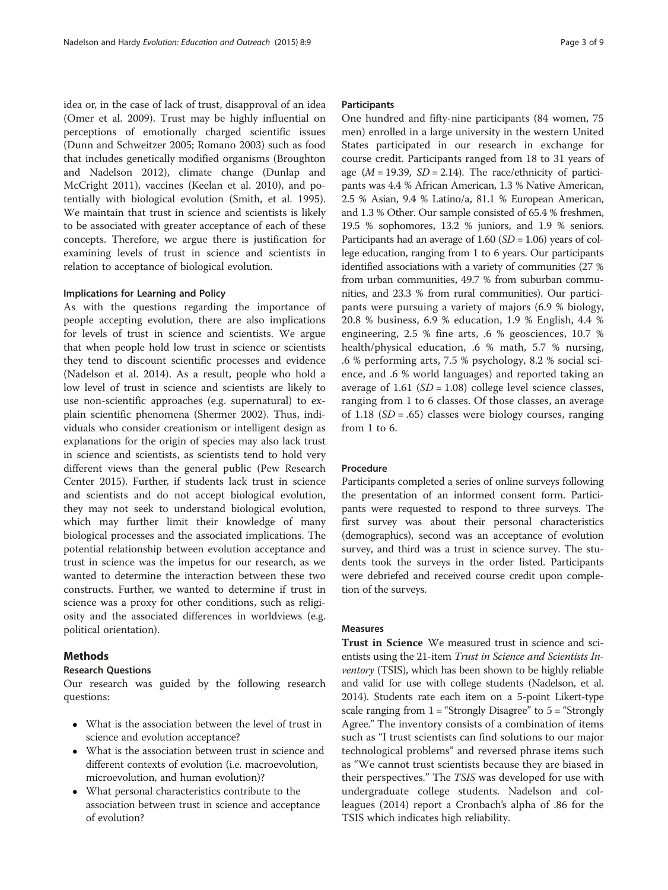idea or, in the case of lack of trust, disapproval of an idea (Omer et al. [2009](#page-9-0)). Trust may be highly influential on perceptions of emotionally charged scientific issues (Dunn and Schweitzer [2005;](#page-9-0) Romano [2003\)](#page-9-0) such as food that includes genetically modified organisms (Broughton and Nadelson [2012\)](#page-9-0), climate change (Dunlap and McCright [2011](#page-9-0)), vaccines (Keelan et al. [2010\)](#page-9-0), and potentially with biological evolution (Smith, et al. [1995](#page-9-0)). We maintain that trust in science and scientists is likely to be associated with greater acceptance of each of these concepts. Therefore, we argue there is justification for examining levels of trust in science and scientists in relation to acceptance of biological evolution.

#### Implications for Learning and Policy

As with the questions regarding the importance of people accepting evolution, there are also implications for levels of trust in science and scientists. We argue that when people hold low trust in science or scientists they tend to discount scientific processes and evidence (Nadelson et al. [2014\)](#page-9-0). As a result, people who hold a low level of trust in science and scientists are likely to use non-scientific approaches (e.g. supernatural) to explain scientific phenomena (Shermer [2002\)](#page-9-0). Thus, individuals who consider creationism or intelligent design as explanations for the origin of species may also lack trust in science and scientists, as scientists tend to hold very different views than the general public (Pew Research Center [2015\)](#page-9-0). Further, if students lack trust in science and scientists and do not accept biological evolution, they may not seek to understand biological evolution, which may further limit their knowledge of many biological processes and the associated implications. The potential relationship between evolution acceptance and trust in science was the impetus for our research, as we wanted to determine the interaction between these two constructs. Further, we wanted to determine if trust in science was a proxy for other conditions, such as religiosity and the associated differences in worldviews (e.g. political orientation).

### Methods

#### Research Questions

Our research was guided by the following research questions:

- What is the association between the level of trust in science and evolution acceptance?
- What is the association between trust in science and different contexts of evolution (i.e. macroevolution, microevolution, and human evolution)?
- What personal characteristics contribute to the association between trust in science and acceptance of evolution?

#### **Participants**

One hundred and fifty-nine participants (84 women, 75 men) enrolled in a large university in the western United States participated in our research in exchange for course credit. Participants ranged from 18 to 31 years of age  $(M = 19.39, SD = 2.14)$ . The race/ethnicity of participants was 4.4 % African American, 1.3 % Native American, 2.5 % Asian, 9.4 % Latino/a, 81.1 % European American, and 1.3 % Other. Our sample consisted of 65.4 % freshmen, 19.5 % sophomores, 13.2 % juniors, and 1.9 % seniors. Participants had an average of  $1.60$  (*SD* =  $1.06$ ) years of college education, ranging from 1 to 6 years. Our participants identified associations with a variety of communities (27 % from urban communities, 49.7 % from suburban communities, and 23.3 % from rural communities). Our participants were pursuing a variety of majors (6.9 % biology, 20.8 % business, 6.9 % education, 1.9 % English, 4.4 % engineering, 2.5 % fine arts, .6 % geosciences, 10.7 % health/physical education, .6 % math, 5.7 % nursing, .6 % performing arts, 7.5 % psychology, 8.2 % social science, and .6 % world languages) and reported taking an average of  $1.61$  (*SD* =  $1.08$ ) college level science classes, ranging from 1 to 6 classes. Of those classes, an average of 1.18  $(SD = .65)$  classes were biology courses, ranging from 1 to 6.

#### Procedure

Participants completed a series of online surveys following the presentation of an informed consent form. Participants were requested to respond to three surveys. The first survey was about their personal characteristics (demographics), second was an acceptance of evolution survey, and third was a trust in science survey. The students took the surveys in the order listed. Participants were debriefed and received course credit upon completion of the surveys.

#### Measures

Trust in Science We measured trust in science and scientists using the 21-item Trust in Science and Scientists Inventory (TSIS), which has been shown to be highly reliable and valid for use with college students (Nadelson, et al. [2014\)](#page-9-0). Students rate each item on a 5-point Likert-type scale ranging from  $1 =$  "Strongly Disagree" to  $5 =$  "Strongly Agree." The inventory consists of a combination of items such as "I trust scientists can find solutions to our major technological problems" and reversed phrase items such as "We cannot trust scientists because they are biased in their perspectives." The TSIS was developed for use with undergraduate college students. Nadelson and colleagues ([2014\)](#page-9-0) report a Cronbach's alpha of .86 for the TSIS which indicates high reliability.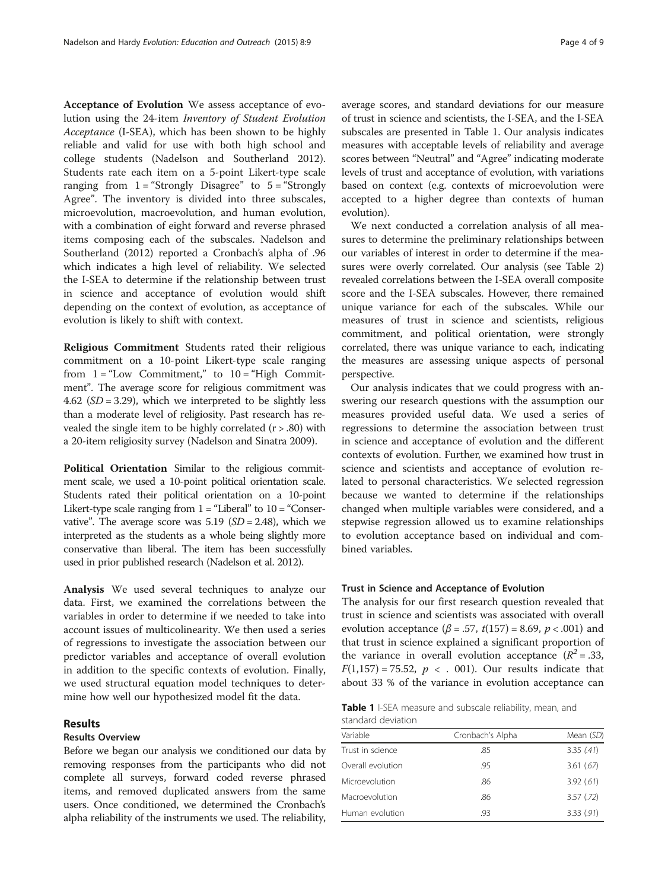Acceptance of Evolution We assess acceptance of evolution using the 24-item Inventory of Student Evolution Acceptance (I-SEA), which has been shown to be highly reliable and valid for use with both high school and college students (Nadelson and Southerland [2012](#page-9-0)). Students rate each item on a 5-point Likert-type scale ranging from  $1 =$  "Strongly Disagree" to  $5 =$  "Strongly Agree". The inventory is divided into three subscales, microevolution, macroevolution, and human evolution, with a combination of eight forward and reverse phrased items composing each of the subscales. Nadelson and Southerland [\(2012\)](#page-9-0) reported a Cronbach's alpha of .96 which indicates a high level of reliability. We selected the I-SEA to determine if the relationship between trust in science and acceptance of evolution would shift depending on the context of evolution, as acceptance of evolution is likely to shift with context.

Religious Commitment Students rated their religious commitment on a 10-point Likert-type scale ranging from  $1 =$  "Low Commitment," to  $10 =$  "High Commitment". The average score for religious commitment was 4.62 ( $SD = 3.29$ ), which we interpreted to be slightly less than a moderate level of religiosity. Past research has revealed the single item to be highly correlated  $(r > .80)$  with a 20-item religiosity survey (Nadelson and Sinatra [2009\)](#page-9-0).

Political Orientation Similar to the religious commitment scale, we used a 10-point political orientation scale. Students rated their political orientation on a 10-point Likert-type scale ranging from  $1 =$  "Liberal" to  $10 =$  "Conservative". The average score was  $5.19$  ( $SD = 2.48$ ), which we interpreted as the students as a whole being slightly more conservative than liberal. The item has been successfully used in prior published research (Nadelson et al. [2012\)](#page-9-0).

Analysis We used several techniques to analyze our data. First, we examined the correlations between the variables in order to determine if we needed to take into account issues of multicolinearity. We then used a series of regressions to investigate the association between our predictor variables and acceptance of overall evolution in addition to the specific contexts of evolution. Finally, we used structural equation model techniques to determine how well our hypothesized model fit the data.

#### Results

#### Results Overview

Before we began our analysis we conditioned our data by removing responses from the participants who did not complete all surveys, forward coded reverse phrased items, and removed duplicated answers from the same users. Once conditioned, we determined the Cronbach's alpha reliability of the instruments we used. The reliability,

average scores, and standard deviations for our measure of trust in science and scientists, the I-SEA, and the I-SEA subscales are presented in Table 1. Our analysis indicates measures with acceptable levels of reliability and average scores between "Neutral" and "Agree" indicating moderate levels of trust and acceptance of evolution, with variations based on context (e.g. contexts of microevolution were accepted to a higher degree than contexts of human evolution).

We next conducted a correlation analysis of all measures to determine the preliminary relationships between our variables of interest in order to determine if the measures were overly correlated. Our analysis (see Table [2](#page-5-0)) revealed correlations between the I-SEA overall composite score and the I-SEA subscales. However, there remained unique variance for each of the subscales. While our measures of trust in science and scientists, religious commitment, and political orientation, were strongly correlated, there was unique variance to each, indicating the measures are assessing unique aspects of personal perspective.

Our analysis indicates that we could progress with answering our research questions with the assumption our measures provided useful data. We used a series of regressions to determine the association between trust in science and acceptance of evolution and the different contexts of evolution. Further, we examined how trust in science and scientists and acceptance of evolution related to personal characteristics. We selected regression because we wanted to determine if the relationships changed when multiple variables were considered, and a stepwise regression allowed us to examine relationships to evolution acceptance based on individual and combined variables.

#### Trust in Science and Acceptance of Evolution

The analysis for our first research question revealed that trust in science and scientists was associated with overall evolution acceptance ( $\beta$  = .57,  $t(157)$  = 8.69,  $p < .001$ ) and that trust in science explained a significant proportion of the variance in overall evolution acceptance  $(R^2 = .33,$  $F(1,157) = 75.52$ ,  $p < .001$ ). Our results indicate that about 33 % of the variance in evolution acceptance can

Table 1 I-SEA measure and subscale reliability, mean, and standard deviation

| Variable          | Cronbach's Alpha | Mean (SD)      |
|-------------------|------------------|----------------|
| Trust in science  | .85              | 3.35(.41)      |
| Overall evolution | .95              | 3.61(.67)      |
| Microevolution    | .86              | 3.92(.61)      |
| Macroevolution    | .86              | $3.57$ $(.72)$ |
| Human evolution   | .93              | 3.33(.91)      |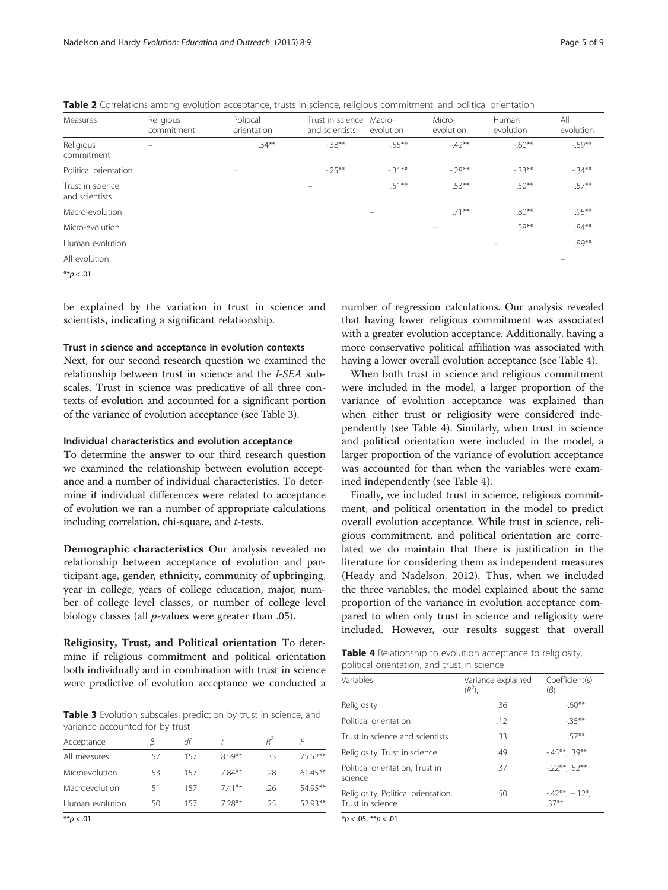<span id="page-5-0"></span>Table 2 Correlations among evolution acceptance, trusts in science, religious commitment, and political orientation

| Measures                           | Religious<br>commitment | Political<br>orientation. | Trust in science Macro-<br>and scientists | evolution | Micro-<br>evolution | Human<br>evolution | All<br>evolution |
|------------------------------------|-------------------------|---------------------------|-------------------------------------------|-----------|---------------------|--------------------|------------------|
| Religious<br>commitment            | -                       | $.34***$                  | $-38**$                                   | $-55***$  | $-42**$             | $-60**$            | $-59**$          |
| Political orientation.             |                         |                           | $-25**$                                   | $-31**$   | $-28**$             | $-33**$            | $-34**$          |
| Trust in science<br>and scientists |                         |                           |                                           | $.51***$  | $.53***$            | $.50***$           | $.57***$         |
| Macro-evolution                    |                         |                           |                                           |           | $.71***$            | $.80**$            | $.95***$         |
| Micro-evolution                    |                         |                           |                                           |           |                     | $.58***$           | $.84***$         |
| Human evolution                    |                         |                           |                                           |           |                     |                    | $.89**$          |
| All evolution                      |                         |                           |                                           |           |                     |                    |                  |
|                                    |                         |                           |                                           |           |                     |                    |                  |

 $*_{D} < .01$ 

be explained by the variation in trust in science and scientists, indicating a significant relationship.

#### Trust in science and acceptance in evolution contexts

Next, for our second research question we examined the relationship between trust in science and the I-SEA subscales. Trust in science was predicative of all three contexts of evolution and accounted for a significant portion of the variance of evolution acceptance (see Table 3).

#### Individual characteristics and evolution acceptance

To determine the answer to our third research question we examined the relationship between evolution acceptance and a number of individual characteristics. To determine if individual differences were related to acceptance of evolution we ran a number of appropriate calculations including correlation, chi-square, and t-tests.

Demographic characteristics Our analysis revealed no relationship between acceptance of evolution and participant age, gender, ethnicity, community of upbringing, year in college, years of college education, major, number of college level classes, or number of college level biology classes (all  $p$ -values were greater than .05).

Religiosity, Trust, and Political orientation To determine if religious commitment and political orientation both individually and in combination with trust in science were predictive of evolution acceptance we conducted a

Table 3 Evolution subscales, prediction by trust in science, and variance accounted for by trust

| Acceptance      |     | df  |         |     |           |
|-----------------|-----|-----|---------|-----|-----------|
| All measures    | -57 | 157 | $859**$ | -33 | $75.52**$ |
| Microevolution  | -53 | 157 | 784**   | .28 | $6145***$ |
| Macroevolution  | -51 | 157 | $741**$ | .26 | 54 95**   |
| Human evolution | -50 | 157 | $728**$ | 25  | 52.93**   |

number of regression calculations. Our analysis revealed that having lower religious commitment was associated with a greater evolution acceptance. Additionally, having a more conservative political affiliation was associated with having a lower overall evolution acceptance (see Table 4).

When both trust in science and religious commitment were included in the model, a larger proportion of the variance of evolution acceptance was explained than when either trust or religiosity were considered independently (see Table 4). Similarly, when trust in science and political orientation were included in the model, a larger proportion of the variance of evolution acceptance was accounted for than when the variables were examined independently (see Table 4).

Finally, we included trust in science, religious commitment, and political orientation in the model to predict overall evolution acceptance. While trust in science, religious commitment, and political orientation are correlated we do maintain that there is justification in the literature for considering them as independent measures (Heady and Nadelson, [2012](#page-9-0)). Thus, when we included the three variables, the model explained about the same proportion of the variance in evolution acceptance compared to when only trust in science and religiosity were included. However, our results suggest that overall

| Table 4 Relationship to evolution acceptance to religiosity, |  |  |
|--------------------------------------------------------------|--|--|
| political orientation, and trust in science                  |  |  |

| Variables                                               | Variance explained<br>$(R^2)$ , | Coefficient(s)<br>$(\beta)$  |  |
|---------------------------------------------------------|---------------------------------|------------------------------|--|
| Religiosity                                             | .36                             | $-60**$                      |  |
| Political orientation                                   | .12                             | $-35***$                     |  |
| Trust in science and scientists                         | .33                             | 57**                         |  |
| Religiosity, Trust in science                           | .49                             | $-45**$ , 39**               |  |
| Political orientation, Trust in<br>science              | .37                             | $-22***$ . 52**              |  |
| Religiosity, Political orientation,<br>Trust in science | .50                             | $-42**$ , $-12*$ ,<br>$37**$ |  |

 $*p < .05, **p < .01$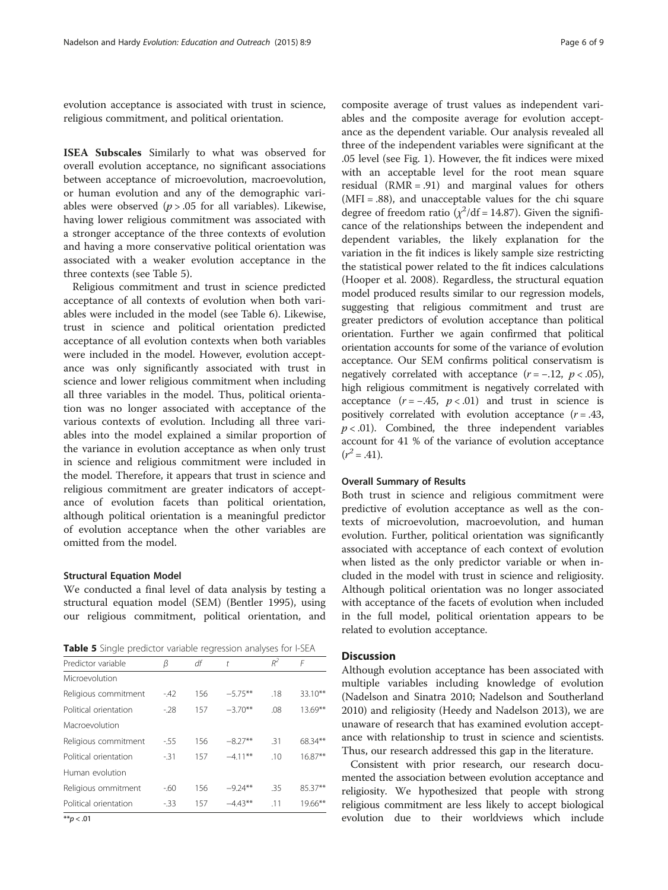evolution acceptance is associated with trust in science, religious commitment, and political orientation.

ISEA Subscales Similarly to what was observed for overall evolution acceptance, no significant associations between acceptance of microevolution, macroevolution, or human evolution and any of the demographic variables were observed  $(p > .05$  for all variables). Likewise, having lower religious commitment was associated with a stronger acceptance of the three contexts of evolution and having a more conservative political orientation was associated with a weaker evolution acceptance in the three contexts (see Table 5).

Religious commitment and trust in science predicted acceptance of all contexts of evolution when both variables were included in the model (see Table [6\)](#page-7-0). Likewise, trust in science and political orientation predicted acceptance of all evolution contexts when both variables were included in the model. However, evolution acceptance was only significantly associated with trust in science and lower religious commitment when including all three variables in the model. Thus, political orientation was no longer associated with acceptance of the various contexts of evolution. Including all three variables into the model explained a similar proportion of the variance in evolution acceptance as when only trust in science and religious commitment were included in the model. Therefore, it appears that trust in science and religious commitment are greater indicators of acceptance of evolution facets than political orientation, although political orientation is a meaningful predictor of evolution acceptance when the other variables are omitted from the model.

#### Structural Equation Model

We conducted a final level of data analysis by testing a structural equation model (SEM) (Bentler [1995\)](#page-9-0), using our religious commitment, political orientation, and

Table 5 Single predictor variable regression analyses for I-SEA

| Predictor variable    | β     | df  | t                     | $R^2$ | F          |
|-----------------------|-------|-----|-----------------------|-------|------------|
| Microevolution        |       |     |                       |       |            |
| Religious commitment  | $-42$ | 156 | $-5.75***$            | .18   | $33.10***$ |
| Political orientation | $-28$ | 157 | $-3.70**$             | .08   | $13.69***$ |
| Macroevolution        |       |     |                       |       |            |
| Religious commitment  | $-55$ | 156 | $-8.27**$             | .31   | 68.34**    |
| Political orientation | $-31$ | 157 | $-4.11$ <sup>**</sup> | .10   | $16.87**$  |
| Human evolution       |       |     |                       |       |            |
| Religious ommitment   | -.60  | 156 | $-9.24**$             | .35   | 85.37**    |
| Political orientation | $-33$ | 157 | $-4.43**$             | .11   | 19.66**    |

\*\* $p < .01$ 

composite average of trust values as independent variables and the composite average for evolution acceptance as the dependent variable. Our analysis revealed all three of the independent variables were significant at the .05 level (see Fig. [1\)](#page-7-0). However, the fit indices were mixed with an acceptable level for the root mean square residual (RMR = .91) and marginal values for others  $(MFI = .88)$ , and unacceptable values for the chi square degree of freedom ratio ( $\chi^2$ /df = 14.87). Given the significance of the relationships between the independent and dependent variables, the likely explanation for the variation in the fit indices is likely sample size restricting the statistical power related to the fit indices calculations (Hooper et al. [2008\)](#page-9-0). Regardless, the structural equation model produced results similar to our regression models, suggesting that religious commitment and trust are greater predictors of evolution acceptance than political orientation. Further we again confirmed that political orientation accounts for some of the variance of evolution acceptance. Our SEM confirms political conservatism is negatively correlated with acceptance  $(r = -.12, p < .05)$ , high religious commitment is negatively correlated with acceptance  $(r = -.45, p < .01)$  and trust in science is positively correlated with evolution acceptance  $(r=.43, ...)$  $p < .01$ ). Combined, the three independent variables account for 41 % of the variance of evolution acceptance  $(r^2 = .41)$ .

#### Overall Summary of Results

Both trust in science and religious commitment were predictive of evolution acceptance as well as the contexts of microevolution, macroevolution, and human evolution. Further, political orientation was significantly associated with acceptance of each context of evolution when listed as the only predictor variable or when included in the model with trust in science and religiosity. Although political orientation was no longer associated with acceptance of the facets of evolution when included in the full model, political orientation appears to be related to evolution acceptance.

#### **Discussion**

Although evolution acceptance has been associated with multiple variables including knowledge of evolution (Nadelson and Sinatra [2010;](#page-9-0) Nadelson and Southerland [2010](#page-9-0)) and religiosity (Heedy and Nadelson [2013](#page-9-0)), we are unaware of research that has examined evolution acceptance with relationship to trust in science and scientists. Thus, our research addressed this gap in the literature.

Consistent with prior research, our research documented the association between evolution acceptance and religiosity. We hypothesized that people with strong religious commitment are less likely to accept biological evolution due to their worldviews which include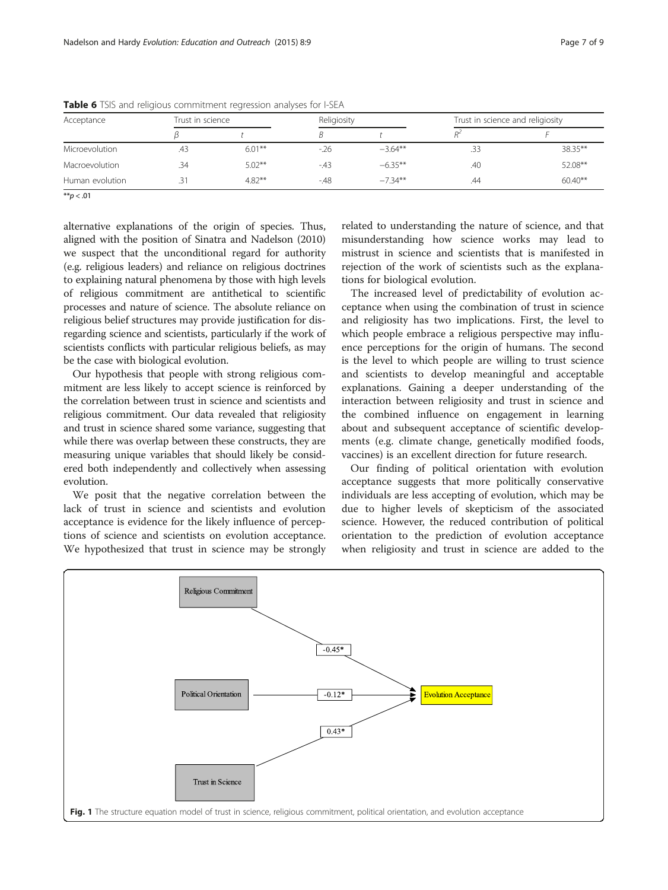| Acceptance      | Trust in science |           |       | Religiosity |     | Trust in science and religiosity |  |
|-----------------|------------------|-----------|-------|-------------|-----|----------------------------------|--|
|                 |                  |           |       |             |     |                                  |  |
| Microevolution  | .43              | $6.01***$ | $-26$ | $-3.64**$   |     | $38.35***$                       |  |
| Macroevolution  | .34              | $5.02***$ | $-43$ | $-6.35**$   | .40 | 52.08**                          |  |
| Human evolution |                  | $4.82**$  | $-48$ | $-7.34**$   | .44 | $60.40**$                        |  |

<span id="page-7-0"></span>Table 6 TSIS and religious commitment regression analyses for I-SEA

 $* p < .01$ 

alternative explanations of the origin of species. Thus, aligned with the position of Sinatra and Nadelson [\(2010](#page-9-0)) we suspect that the unconditional regard for authority (e.g. religious leaders) and reliance on religious doctrines to explaining natural phenomena by those with high levels of religious commitment are antithetical to scientific processes and nature of science. The absolute reliance on religious belief structures may provide justification for disregarding science and scientists, particularly if the work of scientists conflicts with particular religious beliefs, as may be the case with biological evolution.

Our hypothesis that people with strong religious commitment are less likely to accept science is reinforced by the correlation between trust in science and scientists and religious commitment. Our data revealed that religiosity and trust in science shared some variance, suggesting that while there was overlap between these constructs, they are measuring unique variables that should likely be considered both independently and collectively when assessing evolution.

We posit that the negative correlation between the lack of trust in science and scientists and evolution acceptance is evidence for the likely influence of perceptions of science and scientists on evolution acceptance. We hypothesized that trust in science may be strongly

related to understanding the nature of science, and that misunderstanding how science works may lead to mistrust in science and scientists that is manifested in rejection of the work of scientists such as the explanations for biological evolution.

The increased level of predictability of evolution acceptance when using the combination of trust in science and religiosity has two implications. First, the level to which people embrace a religious perspective may influence perceptions for the origin of humans. The second is the level to which people are willing to trust science and scientists to develop meaningful and acceptable explanations. Gaining a deeper understanding of the interaction between religiosity and trust in science and the combined influence on engagement in learning about and subsequent acceptance of scientific developments (e.g. climate change, genetically modified foods, vaccines) is an excellent direction for future research.

Our finding of political orientation with evolution acceptance suggests that more politically conservative individuals are less accepting of evolution, which may be due to higher levels of skepticism of the associated science. However, the reduced contribution of political orientation to the prediction of evolution acceptance when religiosity and trust in science are added to the

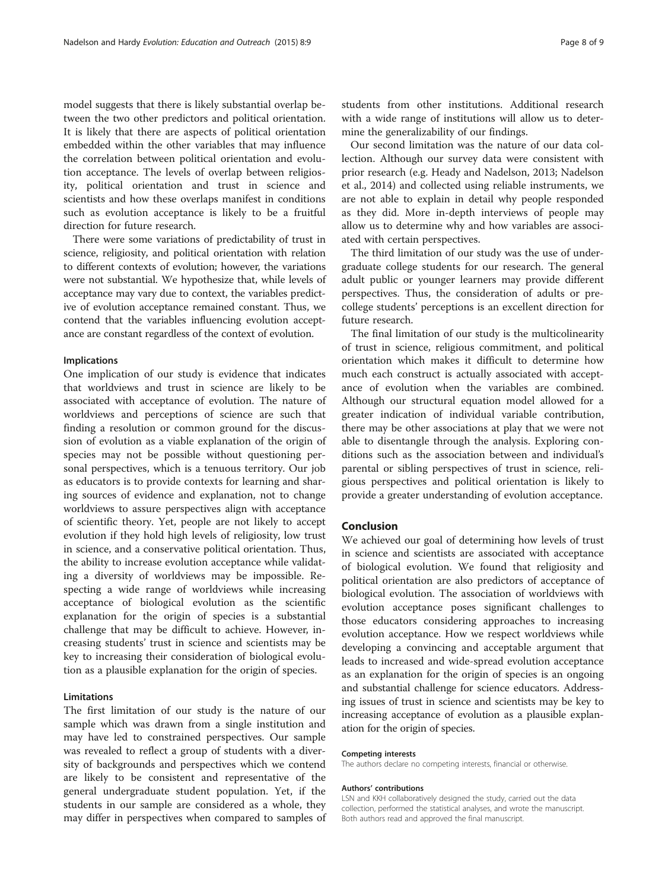model suggests that there is likely substantial overlap between the two other predictors and political orientation. It is likely that there are aspects of political orientation embedded within the other variables that may influence the correlation between political orientation and evolution acceptance. The levels of overlap between religiosity, political orientation and trust in science and scientists and how these overlaps manifest in conditions such as evolution acceptance is likely to be a fruitful direction for future research.

There were some variations of predictability of trust in science, religiosity, and political orientation with relation to different contexts of evolution; however, the variations were not substantial. We hypothesize that, while levels of acceptance may vary due to context, the variables predictive of evolution acceptance remained constant. Thus, we contend that the variables influencing evolution acceptance are constant regardless of the context of evolution.

#### Implications

One implication of our study is evidence that indicates that worldviews and trust in science are likely to be associated with acceptance of evolution. The nature of worldviews and perceptions of science are such that finding a resolution or common ground for the discussion of evolution as a viable explanation of the origin of species may not be possible without questioning personal perspectives, which is a tenuous territory. Our job as educators is to provide contexts for learning and sharing sources of evidence and explanation, not to change worldviews to assure perspectives align with acceptance of scientific theory. Yet, people are not likely to accept evolution if they hold high levels of religiosity, low trust in science, and a conservative political orientation. Thus, the ability to increase evolution acceptance while validating a diversity of worldviews may be impossible. Respecting a wide range of worldviews while increasing acceptance of biological evolution as the scientific explanation for the origin of species is a substantial challenge that may be difficult to achieve. However, increasing students' trust in science and scientists may be key to increasing their consideration of biological evolution as a plausible explanation for the origin of species.

#### Limitations

The first limitation of our study is the nature of our sample which was drawn from a single institution and may have led to constrained perspectives. Our sample was revealed to reflect a group of students with a diversity of backgrounds and perspectives which we contend are likely to be consistent and representative of the general undergraduate student population. Yet, if the students in our sample are considered as a whole, they may differ in perspectives when compared to samples of students from other institutions. Additional research with a wide range of institutions will allow us to determine the generalizability of our findings.

Our second limitation was the nature of our data collection. Although our survey data were consistent with prior research (e.g. Heady and Nadelson, [2013](#page-9-0); Nadelson et al., [2014\)](#page-9-0) and collected using reliable instruments, we are not able to explain in detail why people responded as they did. More in-depth interviews of people may allow us to determine why and how variables are associated with certain perspectives.

The third limitation of our study was the use of undergraduate college students for our research. The general adult public or younger learners may provide different perspectives. Thus, the consideration of adults or precollege students' perceptions is an excellent direction for future research.

The final limitation of our study is the multicolinearity of trust in science, religious commitment, and political orientation which makes it difficult to determine how much each construct is actually associated with acceptance of evolution when the variables are combined. Although our structural equation model allowed for a greater indication of individual variable contribution, there may be other associations at play that we were not able to disentangle through the analysis. Exploring conditions such as the association between and individual's parental or sibling perspectives of trust in science, religious perspectives and political orientation is likely to provide a greater understanding of evolution acceptance.

#### Conclusion

We achieved our goal of determining how levels of trust in science and scientists are associated with acceptance of biological evolution. We found that religiosity and political orientation are also predictors of acceptance of biological evolution. The association of worldviews with evolution acceptance poses significant challenges to those educators considering approaches to increasing evolution acceptance. How we respect worldviews while developing a convincing and acceptable argument that leads to increased and wide-spread evolution acceptance as an explanation for the origin of species is an ongoing and substantial challenge for science educators. Addressing issues of trust in science and scientists may be key to increasing acceptance of evolution as a plausible explanation for the origin of species.

#### Competing interests

The authors declare no competing interests, financial or otherwise.

#### Authors' contributions

LSN and KKH collaboratively designed the study, carried out the data collection, performed the statistical analyses, and wrote the manuscript. Both authors read and approved the final manuscript.